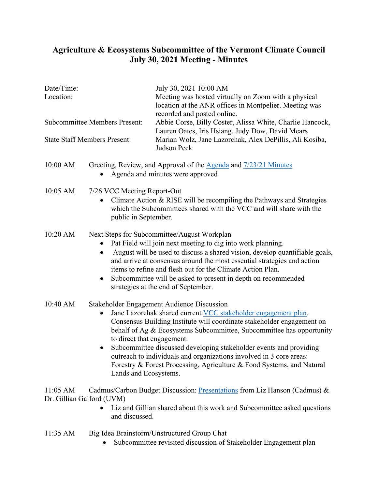## **Agriculture & Ecosystems Subcommittee of the Vermont Climate Council July 30, 2021 Meeting - Minutes**

........................

| Date/Time:<br>Location:                 |                                                                                                                                                                                                                                                                                                                                                                                                                                                                                                                                                          | July 30, 2021 10:00 AM<br>Meeting was hosted virtually on Zoom with a physical<br>location at the ANR offices in Montpelier. Meeting was<br>recorded and posted online.                 |
|-----------------------------------------|----------------------------------------------------------------------------------------------------------------------------------------------------------------------------------------------------------------------------------------------------------------------------------------------------------------------------------------------------------------------------------------------------------------------------------------------------------------------------------------------------------------------------------------------------------|-----------------------------------------------------------------------------------------------------------------------------------------------------------------------------------------|
| <b>Subcommittee Members Present:</b>    |                                                                                                                                                                                                                                                                                                                                                                                                                                                                                                                                                          | Abbie Corse, Billy Coster, Alissa White, Charlie Hancock,<br>Lauren Oates, Iris Hsiang, Judy Dow, David Mears<br>Marian Wolz, Jane Lazorchak, Alex DePillis, Ali Kosiba,<br>Judson Peck |
| <b>State Staff Members Present:</b>     |                                                                                                                                                                                                                                                                                                                                                                                                                                                                                                                                                          |                                                                                                                                                                                         |
| 10:00 AM                                | Greeting, Review, and Approval of the Agenda and 7/23/21 Minutes<br>Agenda and minutes were approved                                                                                                                                                                                                                                                                                                                                                                                                                                                     |                                                                                                                                                                                         |
| 10:05 AM                                | 7/26 VCC Meeting Report-Out<br>Climate Action & RISE will be recompiling the Pathways and Strategies<br>which the Subcommittees shared with the VCC and will share with the<br>public in September.                                                                                                                                                                                                                                                                                                                                                      |                                                                                                                                                                                         |
| 10:20 AM                                | Next Steps for Subcommittee/August Workplan<br>Pat Field will join next meeting to dig into work planning.<br>August will be used to discuss a shared vision, develop quantifiable goals,<br>and arrive at consensus around the most essential strategies and action<br>items to refine and flesh out for the Climate Action Plan.<br>Subcommittee will be asked to present in depth on recommended<br>$\bullet$<br>strategies at the end of September.                                                                                                  |                                                                                                                                                                                         |
| 10:40 AM                                | Stakeholder Engagement Audience Discussion<br>Jane Lazorchak shared current VCC stakeholder engagement plan.<br>$\bullet$<br>Consensus Building Institute will coordinate stakeholder engagement on<br>behalf of Ag & Ecosystems Subcommittee, Subcommittee has opportunity<br>to direct that engagement.<br>Subcommittee discussed developing stakeholder events and providing<br>outreach to individuals and organizations involved in 3 core areas:<br>Forestry & Forest Processing, Agriculture & Food Systems, and Natural<br>Lands and Ecosystems. |                                                                                                                                                                                         |
| $11:05$ AM<br>Dr. Gillian Galford (UVM) | Cadmus/Carbon Budget Discussion: Presentations from Liz Hanson (Cadmus) &<br>Liz and Gillian shared about this work and Subcommittee asked questions<br>and discussed.                                                                                                                                                                                                                                                                                                                                                                                   |                                                                                                                                                                                         |
| 11:35 AM                                | Big Idea Brainstorm/Unstructured Group Chat<br>Subcommittee revisited discussion of Stakeholder Engagement plan                                                                                                                                                                                                                                                                                                                                                                                                                                          |                                                                                                                                                                                         |